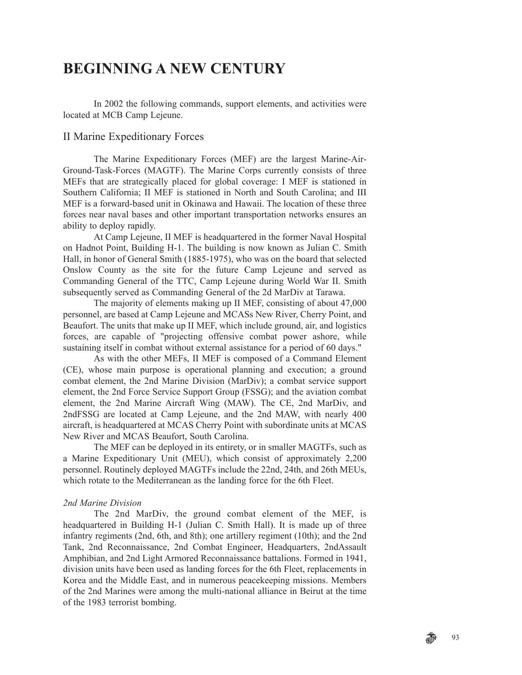# **BEGINNING A NEW CENTURY**

In 2002 the following commands, support elements, and activities were located at MCB Camp Lejeune.

# II Marine Expeditionary Forces

The Marine Expeditionary Forces (MEF) are the largest Marine-Air-Ground-Task-Forces (MAGTF). The Marine Corps currently consists of three MEFs that are strategically placed for global coverage: I MEF is stationed in Southern California; II MEF is stationed in North and South Carolina; and III MEF is a forward-based unit in Okinawa and Hawaii. The location of these three forces near naval bases and other important transportation networks ensures an ability to deploy rapidly.

At Camp Lejeune, II MEF is headquartered in the former Naval Hospital on Hadnot Point, Building H-1. The building is now known as Julian C. Smith Hall, in honor of General Smith (1885-1975), who was on the board that selected Onslow County as the site for the future Camp Lejeune and served as Commanding General of the TTC, Camp Lejeune during World War II. Smith subsequently served as Commanding General of the 2d MarDiv at Tarawa.

The majority of elements making up II MEF, consisting of about 47,000 personnel, are based at Camp Lejeune and MCASs New River, Cherry Point, and Beaufort. The units that make up II MEF, which include ground, air, and logistics forces, are capable of "projecting offensive combat power ashore, while sustaining itself in combat without external assistance for a period of 60 days."

As with the other MEFs, II MEF is composed of a Command Element (CE), whose main purpose is operational planning and execution; a ground combat element, the 2nd Marine Division (MarDiv); a combat service support element, the 2nd Force Service Support Group (FSSG); and the aviation combat element, the 2nd Marine Aircraft Wing (MAW). The CE, 2nd MarDiv, and 2ndFSSG are located at Camp Lejeune, and the 2nd MAW, with nearly 400 aircraft, is headquartered at MCAS Cherry Point with subordinate units at MCAS New River and MCAS Beaufort, South Carolina.

The MEF can be deployed in its entirety, or in smaller MAGTFs, such as a Marine Expeditionary Unit (MEU), which consist of approximately 2,200 personnel. Routinely deployed MAGTFs include the 22nd, 24th, and 26th MEUs, which rotate to the Mediterranean as the landing force for the 6th Fleet.

### *2nd Marine Division*

The 2nd MarDiv, the ground combat element of the MEF, is headquartered in Building H-1 (Julian C. Smith Hall). It is made up of three infantry regiments (2nd, 6th, and 8th); one artillery regiment (10th); and the 2nd Tank, 2nd Reconnaissance, 2nd Combat Engineer, Headquarters, 2ndAssault Amphibian, and 2nd Light Armored Reconnaissance battalions. Formed in 1941, division units have been used as landing forces for the 6th Fleet, replacements in Korea and the Middle East, and in numerous peacekeeping missions. Members of the 2nd Marines were among the multi-national alliance in Beirut at the time of the 1983 terrorist bombing.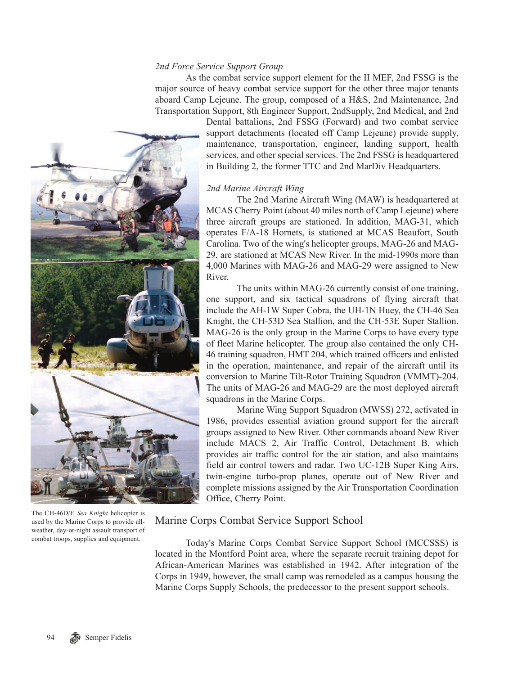### *2nd Force Service Support Group*

As the combat service support element for the II MEF, 2nd FSSG is the major source of heavy combat service support for the other three major tenants aboard Camp Lejeune. The group, composed of a H&S, 2nd Maintenance, 2nd Transportation Support, 8th Engineer Support, 2ndSupply, 2nd Medical, and 2nd



The CH-46D/E *Sea Knight* helicopter is used by the Marine Corps to provide allweather, day-or-night assault transport of combat troops, supplies and equipment.

Dental battalions, 2nd FSSG (Forward) and two combat service support detachments (located off Camp Lejeune) provide supply, maintenance, transportation, engineer, landing support, health services, and other special services. The 2nd FSSG is headquartered in Building 2, the former TTC and 2nd MarDiv Headquarters.

#### *2nd Marine Aircraft Wing*

The 2nd Marine Aircraft Wing (MAW) is headquartered at MCAS Cherry Point (about 40 miles north of Camp Lejeune) where three aircraft groups are stationed. In addition, MAG-31, which operates F/A-18 Hornets, is stationed at MCAS Beaufort, South Carolina. Two of the wing's helicopter groups, MAG-26 and MAG-29, are stationed at MCAS New River. In the mid-1990s more than 4,000 Marines with MAG-26 and MAG-29 were assigned to New River.

The units within MAG-26 currently consist of one training, one support, and six tactical squadrons of flying aircraft that include the AH-1W Super Cobra, the UH-1N Huey, the CH-46 Sea Knight, the CH-53D Sea Stallion, and the CH-53E Super Stallion. MAG-26 is the only group in the Marine Corps to have every type of fleet Marine helicopter. The group also contained the only CH-46 training squadron, HMT 204, which trained officers and enlisted in the operation, maintenance, and repair of the aircraft until its conversion to Marine Tilt-Rotor Training Squadron (VMMT)-204. The units of MAG-26 and MAG-29 are the most deployed aircraft squadrons in the Marine Corps.

Marine Wing Support Squadron (MWSS) 272, activated in 1986, provides essential aviation ground support for the aircraft groups assigned to New River. Other commands aboard New River include MACS 2, Air Traffic Control, Detachment B, which provides air traffic control for the air station, and also maintains field air control towers and radar. Two UC-12B Super King Airs, twin-engine turbo-prop planes, operate out of New River and complete missions assigned by the Air Transportation Coordination Office, Cherry Point.

# Marine Corps Combat Service Support School

Today's Marine Corps Combat Service Support School (MCCSSS) is located in the Montford Point area, where the separate recruit training depot for African-American Marines was established in 1942. After integration of the Corps in 1949, however, the small camp was remodeled as a campus housing the Marine Corps Supply Schools, the predecessor to the present support schools.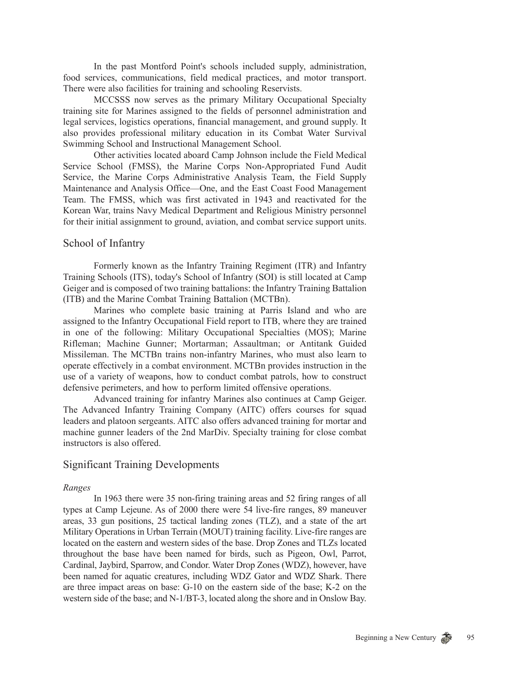In the past Montford Point's schools included supply, administration, food services, communications, field medical practices, and motor transport. There were also facilities for training and schooling Reservists.

MCCSSS now serves as the primary Military Occupational Specialty training site for Marines assigned to the fields of personnel administration and legal services, logistics operations, financial management, and ground supply. It also provides professional military education in its Combat Water Survival Swimming School and Instructional Management School.

Other activities located aboard Camp Johnson include the Field Medical Service School (FMSS), the Marine Corps Non-Appropriated Fund Audit Service, the Marine Corps Administrative Analysis Team, the Field Supply Maintenance and Analysis Office—One, and the East Coast Food Management Team. The FMSS, which was first activated in 1943 and reactivated for the Korean War, trains Navy Medical Department and Religious Ministry personnel for their initial assignment to ground, aviation, and combat service support units.

## School of Infantry

Formerly known as the Infantry Training Regiment (ITR) and Infantry Training Schools (ITS), today's School of Infantry (SOI) is still located at Camp Geiger and is composed of two training battalions: the Infantry Training Battalion (ITB) and the Marine Combat Training Battalion (MCTBn).

Marines who complete basic training at Parris Island and who are assigned to the Infantry Occupational Field report to ITB, where they are trained in one of the following: Military Occupational Specialties (MOS); Marine Rifleman; Machine Gunner; Mortarman; Assaultman; or Antitank Guided Missileman. The MCTBn trains non-infantry Marines, who must also learn to operate effectively in a combat environment. MCTBn provides instruction in the use of a variety of weapons, how to conduct combat patrols, how to construct defensive perimeters, and how to perform limited offensive operations.

Advanced training for infantry Marines also continues at Camp Geiger. The Advanced Infantry Training Company (AITC) offers courses for squad leaders and platoon sergeants. AITC also offers advanced training for mortar and machine gunner leaders of the 2nd MarDiv. Specialty training for close combat instructors is also offered.

# Significant Training Developments

#### *Ranges*

In 1963 there were 35 non-firing training areas and 52 firing ranges of all types at Camp Lejeune. As of 2000 there were 54 live-fire ranges, 89 maneuver areas, 33 gun positions, 25 tactical landing zones (TLZ), and a state of the art Military Operations in Urban Terrain (MOUT) training facility. Live-fire ranges are located on the eastern and western sides of the base. Drop Zones and TLZs located throughout the base have been named for birds, such as Pigeon, Owl, Parrot, Cardinal, Jaybird, Sparrow, and Condor. Water Drop Zones (WDZ), however, have been named for aquatic creatures, including WDZ Gator and WDZ Shark. There are three impact areas on base: G-10 on the eastern side of the base; K-2 on the western side of the base; and N-1/BT-3, located along the shore and in Onslow Bay.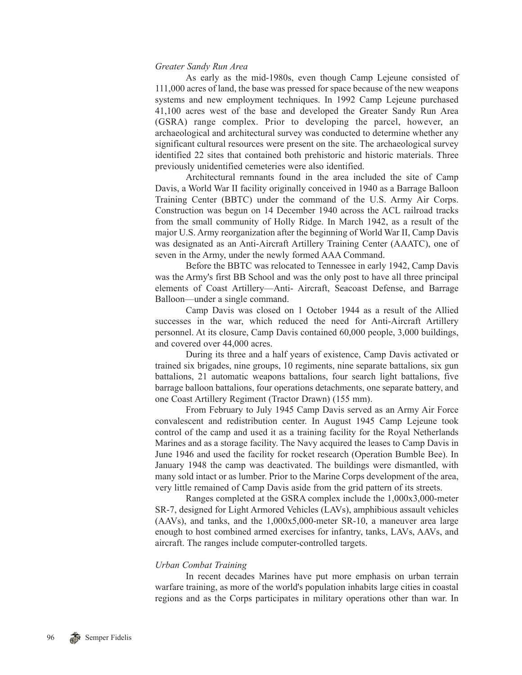#### *Greater Sandy Run Area*

As early as the mid-1980s, even though Camp Lejeune consisted of 111,000 acres of land, the base was pressed for space because of the new weapons systems and new employment techniques. In 1992 Camp Lejeune purchased 41,100 acres west of the base and developed the Greater Sandy Run Area (GSRA) range complex. Prior to developing the parcel, however, an archaeological and architectural survey was conducted to determine whether any significant cultural resources were present on the site. The archaeological survey identified 22 sites that contained both prehistoric and historic materials. Three previously unidentified cemeteries were also identified.

Architectural remnants found in the area included the site of Camp Davis, a World War II facility originally conceived in 1940 as a Barrage Balloon Training Center (BBTC) under the command of the U.S. Army Air Corps. Construction was begun on 14 December 1940 across the ACL railroad tracks from the small community of Holly Ridge. In March 1942, as a result of the major U.S. Army reorganization after the beginning of World War II, Camp Davis was designated as an Anti-Aircraft Artillery Training Center (AAATC), one of seven in the Army, under the newly formed AAA Command.

Before the BBTC was relocated to Tennessee in early 1942, Camp Davis was the Army's first BB School and was the only post to have all three principal elements of Coast Artillery—Anti- Aircraft, Seacoast Defense, and Barrage Balloon—under a single command.

Camp Davis was closed on 1 October 1944 as a result of the Allied successes in the war, which reduced the need for Anti-Aircraft Artillery personnel. At its closure, Camp Davis contained 60,000 people, 3,000 buildings, and covered over 44,000 acres.

During its three and a half years of existence, Camp Davis activated or trained six brigades, nine groups, 10 regiments, nine separate battalions, six gun battalions, 21 automatic weapons battalions, four search light battalions, five barrage balloon battalions, four operations detachments, one separate battery, and one Coast Artillery Regiment (Tractor Drawn) (155 mm).

From February to July 1945 Camp Davis served as an Army Air Force convalescent and redistribution center. In August 1945 Camp Lejeune took control of the camp and used it as a training facility for the Royal Netherlands Marines and as a storage facility. The Navy acquired the leases to Camp Davis in June 1946 and used the facility for rocket research (Operation Bumble Bee). In January 1948 the camp was deactivated. The buildings were dismantled, with many sold intact or as lumber. Prior to the Marine Corps development of the area, very little remained of Camp Davis aside from the grid pattern of its streets.

Ranges completed at the GSRA complex include the 1,000x3,000-meter SR-7, designed for Light Armored Vehicles (LAVs), amphibious assault vehicles (AAVs), and tanks, and the 1,000x5,000-meter SR-10, a maneuver area large enough to host combined armed exercises for infantry, tanks, LAVs, AAVs, and aircraft. The ranges include computer-controlled targets.

#### *Urban Combat Training*

In recent decades Marines have put more emphasis on urban terrain warfare training, as more of the world's population inhabits large cities in coastal regions and as the Corps participates in military operations other than war. In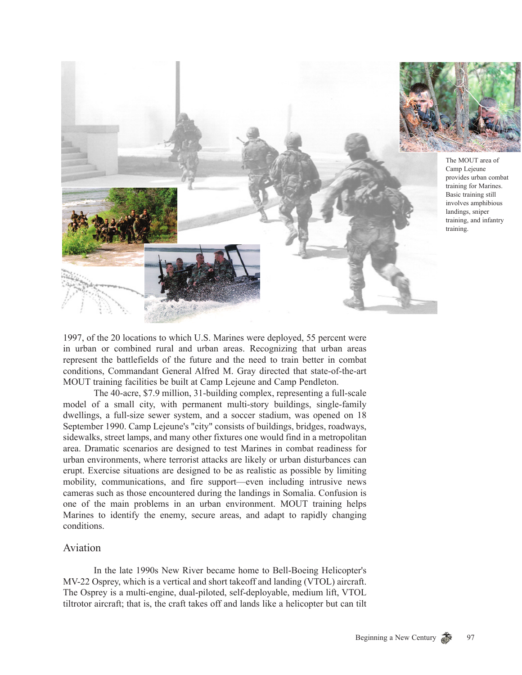

1997, of the 20 locations to which U.S. Marines were deployed, 55 percent were in urban or combined rural and urban areas. Recognizing that urban areas represent the battlefields of the future and the need to train better in combat conditions, Commandant General Alfred M. Gray directed that state-of-the-art MOUT training facilities be built at Camp Lejeune and Camp Pendleton.

The 40-acre, \$7.9 million, 31-building complex, representing a full-scale model of a small city, with permanent multi-story buildings, single-family dwellings, a full-size sewer system, and a soccer stadium, was opened on 18 September 1990. Camp Lejeune's "city" consists of buildings, bridges, roadways, sidewalks, street lamps, and many other fixtures one would find in a metropolitan area. Dramatic scenarios are designed to test Marines in combat readiness for urban environments, where terrorist attacks are likely or urban disturbances can erupt. Exercise situations are designed to be as realistic as possible by limiting mobility, communications, and fire support—even including intrusive news cameras such as those encountered during the landings in Somalia. Confusion is one of the main problems in an urban environment. MOUT training helps Marines to identify the enemy, secure areas, and adapt to rapidly changing conditions.

# Aviation

In the late 1990s New River became home to Bell-Boeing Helicopter's MV-22 Osprey, which is a vertical and short takeoff and landing (VTOL) aircraft. The Osprey is a multi-engine, dual-piloted, self-deployable, medium lift, VTOL tiltrotor aircraft; that is, the craft takes off and lands like a helicopter but can tilt